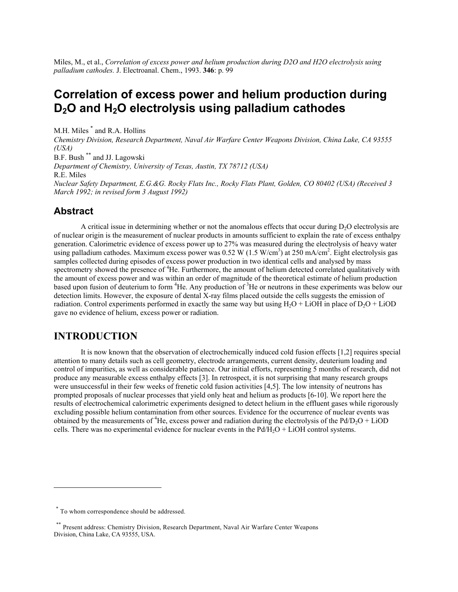Miles, M., et al., *Correlation of excess power and helium production during D2O and H2O electrolysis using palladium cathodes.* J. Electroanal. Chem., 1993. **346**: p. 99

# **Correlation of excess power and helium production during D2O and H2O electrolysis using palladium cathodes**

M.H. Miles [\\*](#page-0-0) and R.A. Hollins *Chemistry Division, Research Department, Naval Air Warfare Center Weapons Division, China Lake, CA 93555 (USA)* B.F. Bush [\\*\\*](#page-0-1) and JJ. Lagowski *Department of Chemistry, University of Texas, Austin, TX 78712 (USA)*  R.E. Miles *Nuclear Safety Department, E.G.&G. Rocky Flats Inc., Rocky Flats Plant, Golden, CO 80402 (USA) (Received 3 March 1992; in revised form 3 August 1992)* 

## **Abstract**

A critical issue in determining whether or not the anomalous effects that occur during  $D<sub>2</sub>O$  electrolysis are of nuclear origin is the measurement of nuclear products in amounts sufficient to explain the rate of excess enthalpy generation. Calorimetric evidence of excess power up to 27% was measured during the electrolysis of heavy water using palladium cathodes. Maximum excess power was 0.52 W (1.5 W/cm<sup>3</sup>) at 250 mA/cm<sup>2</sup>. Eight electrolysis gas samples collected during episodes of excess power production in two identical cells and analysed by mass spectrometry showed the presence of <sup>4</sup>He. Furthermore, the amount of helium detected correlated qualitatively with the amount of excess power and was within an order of magnitude of the theoretical estimate of helium production based upon fusion of deuterium to form <sup>4</sup>He. Any production of <sup>3</sup>He or neutrons in these experiments was below our detection limits. However, the exposure of dental X-ray films placed outside the cells suggests the emission of radiation. Control experiments performed in exactly the same way but using  $H_2O + LiOH$  in place of  $D_2O + LiOD$ gave no evidence of helium, excess power or radiation.

## **INTRODUCTION**

It is now known that the observation of electrochemically induced cold fusion effects [1,2] requires special attention to many details such as cell geometry, electrode arrangements, current density, deuterium loading and control of impurities, as well as considerable patience. Our initial efforts, representing 5 months of research, did not produce any measurable excess enthalpy effects [3]. In retrospect, it is not surprising that many research groups were unsuccessful in their few weeks of frenetic cold fusion activities [4,5]. The low intensity of neutrons has prompted proposals of nuclear processes that yield only heat and helium as products [6-10]. We report here the results of electrochemical calorimetric experiments designed to detect helium in the effluent gases while rigorously excluding possible helium contamination from other sources. Evidence for the occurrence of nuclear events was obtained by the measurements of <sup>4</sup>He, excess power and radiation during the electrolysis of the Pd/D<sub>2</sub>O + LiOD cells. There was no experimental evidence for nuclear events in the  $Pd/H<sub>2</sub>O + LiOH$  control systems.

1

<span id="page-0-0"></span><sup>\*</sup> To whom correspondence should be addressed.

<span id="page-0-1"></span><sup>\*\*</sup> Present address: Chemistry Division, Research Department, Naval Air Warfare Center Weapons Division, China Lake, CA 93555, USA.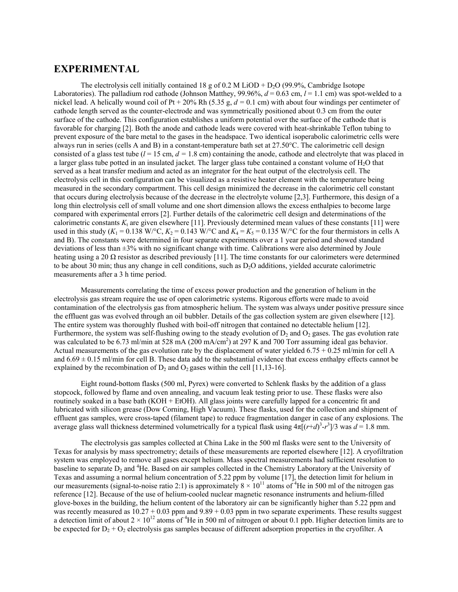## **EXPERIMENTAL**

The electrolysis cell initially contained 18 g of  $0.2 \text{ M }$  LiOD + D<sub>2</sub>O (99.9%, Cambridge Isotope Laboratories). The palladium rod cathode (Johnson Matthey,  $99.96\%$ ,  $d = 0.63$  cm,  $l = 1.1$  cm) was spot-welded to a nickel lead. A helically wound coil of Pt + 20% Rh (5.35 g, *d =* 0.1 cm) with about four windings per centimeter of cathode length served as the counter-electrode and was symmetrically positioned about 0.3 cm from the outer surface of the cathode. This configuration establishes a uniform potential over the surface of the cathode that is favorable for charging [2]. Both the anode and cathode leads were covered with heat-shrinkable Teflon tubing to prevent exposure of the bare metal to the gases in the headspace. Two identical isoperabolic calorimetric cells were always run in series (cells A and B) in a constant-temperature bath set at 27.50°C. The calorimetric cell design consisted of a glass test tube  $(l = 15 \text{ cm}, d = 1.8 \text{ cm})$  containing the anode, cathode and electrolyte that was placed in a larger glass tube potted in an insulated jacket. The larger glass tube contained a constant volume of H<sub>2</sub>O that served as a heat transfer medium and acted as an integrator for the heat output of the electrolysis cell. The electrolysis cell in this configuration can be visualized as a resistive heater element with the temperature being measured in the secondary compartment. This cell design minimized the decrease in the calorimetric cell constant that occurs during electrolysis because of the decrease in the electrolyte volume [2,3]. Furthermore, this design of a long thin electrolysis cell of small volume and one short dimension allows the excess enthalpies to become large compared with experimental errors [2]. Further details of the calorimetric cell design and determinations of the calorimetric constants  $K_t$  are given elsewhere [11]. Previously determined mean values of these constants [11] were used in this study  $(K_1 = 0.138 \text{ W} / \text{°C}, K_2 = 0.143 \text{ W} / \text{°C}$  and  $K_4 = K_5 = 0.135 \text{ W} / \text{°C}$  for the four thermistors in cells A and B). The constants were determined in four separate experiments over a 1 year period and showed standard deviations of less than ±3% with no significant change with time. Calibrations were also determined by Joule heating using a 20  $\Omega$  resistor as described previously [11]. The time constants for our calorimeters were determined to be about 30 min; thus any change in cell conditions, such as D<sub>2</sub>O additions, yielded accurate calorimetric measurements after a 3 h time period.

Measurements correlating the time of excess power production and the generation of helium in the electrolysis gas stream require the use of open calorimetric systems. Rigorous efforts were made to avoid contamination of the electrolysis gas from atmospheric helium. The system was always under positive pressure since the effluent gas was evolved through an oil bubbler. Details of the gas collection system are given elsewhere [12]. The entire system was thoroughly flushed with boil-off nitrogen that contained no detectable helium [12]. Furthermore, the system was self-flushing owing to the steady evolution of  $D_2$  and  $O_2$  gases. The gas evolution rate was calculated to be 6.73 ml/min at 528 mA (200 mA/cm<sup>2</sup>) at 297 K and 700 Torr assuming ideal gas behavior. Actual measurements of the gas evolution rate by the displacement of water yielded  $6.75 \pm 0.25$  ml/min for cell A and  $6.69 \pm 0.15$  ml/min for cell B. These data add to the substantial evidence that excess enthalpy effects cannot be explained by the recombination of  $D_2$  and  $O_2$  gases within the cell [11,13-16].

Eight round-bottom flasks (500 ml, Pyrex) were converted to Schlenk flasks by the addition of a glass stopcock, followed by flame and oven annealing, and vacuum leak testing prior to use. These flasks were also routinely soaked in a base bath (KOH + EtOH). All glass joints were carefully lapped for a concentric fit and lubricated with silicon grease (Dow Corning, High Vacuum). These flasks, used for the collection and shipment of effluent gas samples, were cross-taped (filament tape) to reduce fragmentation danger in case of any explosions. The average glass wall thickness determined volumetrically for a typical flask using  $4\pi \left[\left(r+d\right)^3 - r^3\right]/3$  was  $d = 1.8$  mm.

The electrolysis gas samples collected at China Lake in the 500 ml flasks were sent to the University of Texas for analysis by mass spectrometry; details of these measurements are reported elsewhere [12]. A cryofiltration system was employed to remove all gases except helium. Mass spectral measurements had sufficient resolution to baseline to separate D<sub>2</sub> and <sup>4</sup>He. Based on air samples collected in the Chemistry Laboratory at the University of Texas and assuming a normal helium concentration of 5.22 ppm by volume [17], the detection limit for helium in our measurements (signal-to-noise ratio 2:1) is approximately  $8 \times 10^{11}$  atoms of <sup>4</sup>He in 500 ml of the nitrogen gas reference [12]. Because of the use of helium-cooled nuclear magnetic resonance instruments and helium-filled glove-boxes in the building, the helium content of the laboratory air can be significantly higher than 5.22 ppm and was recently measured as  $10.27 + 0.03$  ppm and  $9.89 + 0.03$  ppm in two separate experiments. These results suggest a detection limit of about  $2 \times 10^{12}$  atoms of <sup>4</sup>He in 500 ml of nitrogen or about 0.1 ppb. Higher detection limits are to be expected for  $D_2 + O_2$  electrolysis gas samples because of different adsorption properties in the cryofilter. A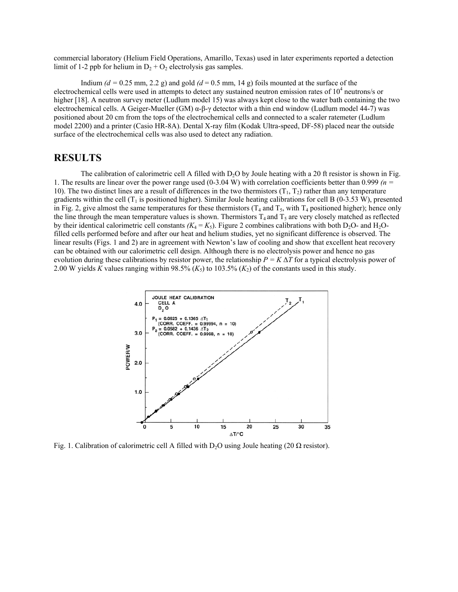commercial laboratory (Helium Field Operations, Amarillo, Texas) used in later experiments reported a detection limit of 1-2 ppb for helium in  $D_2 + O_2$  electrolysis gas samples.

Indium  $(d = 0.25$  mm, 2.2 g) and gold  $(d = 0.5$  mm, 14 g) foils mounted at the surface of the electrochemical cells were used in attempts to detect any sustained neutron emission rates of  $10^4$  neutrons/s or higher [18]. A neutron survey meter (Ludlum model 15) was always kept close to the water bath containing the two electrochemical cells. A Geiger-Mueller (GM)  $\alpha$ -β-γ detector with a thin end window (Ludlum model 44-7) was positioned about 20 cm from the tops of the electrochemical cells and connected to a scaler ratemeter (Ludlum model 2200) and a printer (Casio HR-8A). Dental X-ray film (Kodak Ultra-speed, DF-58) placed near the outside surface of the electrochemical cells was also used to detect any radiation.

## **RESULTS**

The calibration of calorimetric cell A filled with  $D_2O$  by Joule heating with a 20 ft resistor is shown in Fig. 1. The results are linear over the power range used (0-3.04 W) with correlation coefficients better than 0.999 *(n =* 10). The two distinct lines are a result of differences in the two thermistors  $(T_1, T_2)$  rather than any temperature gradients within the cell  $(T_1$  is positioned higher). Similar Joule heating calibrations for cell B (0-3.53 W), presented in Fig. 2, give almost the same temperatures for these thermistors  $(T_4$  and  $T_5$ , with  $T_4$  positioned higher); hence only the line through the mean temperature values is shown. Thermistors  $T_4$  and  $T_5$  are very closely matched as reflected by their identical calorimetric cell constants  $(K_4 = K_5)$ . Figure 2 combines calibrations with both D<sub>2</sub>O- and H<sub>2</sub>Ofilled cells performed before and after our heat and helium studies, yet no significant difference is observed. The linear results (Figs. 1 and 2) are in agreement with Newton's law of cooling and show that excellent heat recovery can be obtained with our calorimetric cell design. Although there is no electrolysis power and hence no gas evolution during these calibrations by resistor power, the relationship  $P = K \Delta T$  for a typical electrolysis power of 2.00 W yields *K* values ranging within 98.5%  $(K_5)$  to 103.5%  $(K_2)$  of the constants used in this study.



Fig. 1. Calibration of calorimetric cell A filled with D<sub>2</sub>O using Joule heating (20  $\Omega$  resistor).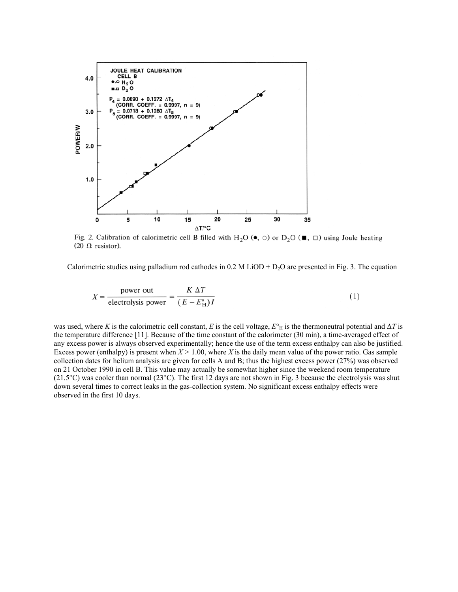

Fig. 2. Calibration of calorimetric cell B filled with H<sub>2</sub>O ( $\bullet$ ,  $\circ$ ) or D<sub>2</sub>O ( $\bullet$ ,  $\Box$ ) using Joule heating  $(20 \Omega$  resistor).

Calorimetric studies using palladium rod cathodes in 0.2 M LiOD +  $D_2O$  are presented in Fig. 3. The equation

$$
X = \frac{\text{power out}}{\text{electrolysis power}} = \frac{K \Delta T}{(E - E_H^{\circ})I}
$$
 (1)

was used, where *K* is the calorimetric cell constant, *E* is the cell voltage,  $E^{\circ}$ <sub>H</sub> is the thermoneutral potential and  $\Delta T$  is the temperature difference [11]. Because of the time constant of the calorimeter (30 min), a time-averaged effect of any excess power is always observed experimentally; hence the use of the term excess enthalpy can also be justified. Excess power (enthalpy) is present when *X >* 1.00, where *X* is the daily mean value of the power ratio. Gas sample collection dates for helium analysis are given for cells A and B; thus the highest excess power (27%) was observed on 21 October 1990 in cell B. This value may actually be somewhat higher since the weekend room temperature (21.5°C) was cooler than normal (23°C). The first 12 days are not shown in Fig. 3 because the electrolysis was shut down several times to correct leaks in the gas-collection system. No significant excess enthalpy effects were observed in the first 10 days.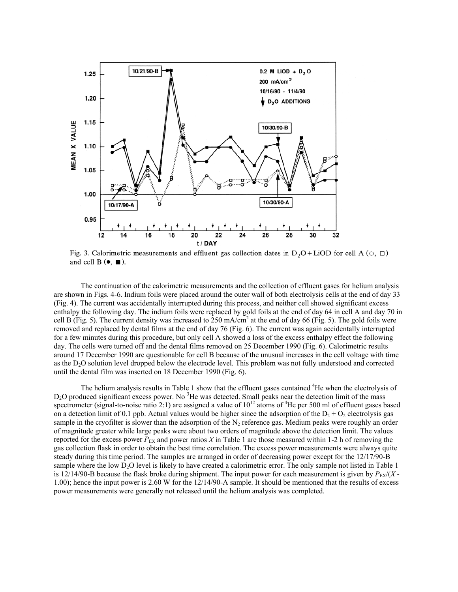

Fig. 3. Calorimetric measurements and effluent gas collection dates in  $D_2O+LiOD$  for cell A ( $\circ$ ,  $\Box$ ) and cell  $B(\bullet, \blacksquare)$ .

The continuation of the calorimetric measurements and the collection of effluent gases for helium analysis are shown in Figs. 4-6. Indium foils were placed around the outer wall of both electrolysis cells at the end of day 33 (Fig. 4). The current was accidentally interrupted during this process, and neither cell showed significant excess enthalpy the following day. The indium foils were replaced by gold foils at the end of day 64 in cell A and day 70 in cell B (Fig. 5). The current density was increased to  $250 \text{ mA/cm}^2$  at the end of day 66 (Fig. 5). The gold foils were removed and replaced by dental films at the end of day 76 (Fig. 6). The current was again accidentally interrupted for a few minutes during this procedure, but only cell A showed a loss of the excess enthalpy effect the following day. The cells were turned off and the dental films removed on 25 December 1990 (Fig. 6). Calorimetric results around 17 December 1990 are questionable for cell B because of the unusual increases in the cell voltage with time as the D<sub>2</sub>O solution level dropped below the electrode level. This problem was not fully understood and corrected until the dental film was inserted on 18 December 1990 (Fig. 6).

The helium analysis results in Table 1 show that the effluent gases contained <sup>4</sup>He when the electrolysis of D<sub>2</sub>O produced significant excess power. No <sup>3</sup>He was detected. Small peaks near the detection limit of the mass spectrometer (signal-to-noise ratio 2:1) are assigned a value of  $10^{12}$  atoms of  $4$ He per 500 ml of effluent gases based on a detection limit of 0.1 ppb. Actual values would be higher since the adsorption of the  $D_2 + D_2$  electrolysis gas sample in the cryofilter is slower than the adsorption of the  $N_2$  reference gas. Medium peaks were roughly an order of magnitude greater while large peaks were about two orders of magnitude above the detection limit. The values reported for the excess power  $P_{EX}$  and power ratios *X* in Table 1 are those measured within 1-2 h of removing the gas collection flask in order to obtain the best time correlation. The excess power measurements were always quite steady during this time period. The samples are arranged in order of decreasing power except for the 12/17/90-B sample where the low D<sub>2</sub>O level is likely to have created a calorimetric error. The only sample not listed in Table 1 is 12/14/90-B because the flask broke during shipment. The input power for each measurement is given by  $P_{EX}/(X - E)$ 1.00); hence the input power is 2.60 W for the 12/14/90-A sample. It should be mentioned that the results of excess power measurements were generally not released until the helium analysis was completed.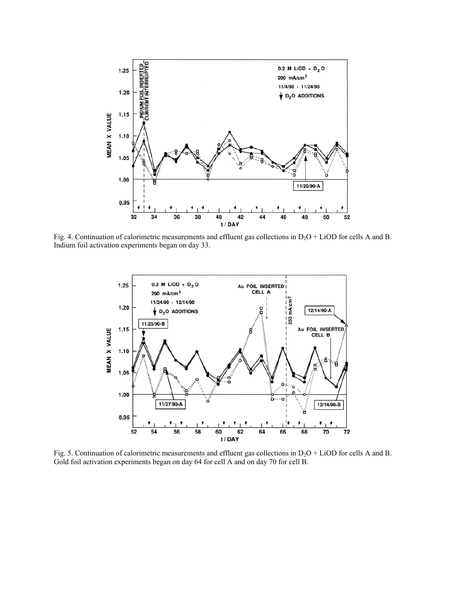

Fig. 4. Continuation of calorimetric measurements and effluent gas collections in  $D_2O + LiOD$  for cells A and B. Indium foil activation experiments began on day 33.



Fig. 5. Continuation of calorimetric measurements and effluent gas collections in  $D_2O + LiOD$  for cells A and B. Gold foil activation experiments began on day 64 for cell A and on day 70 for cell B.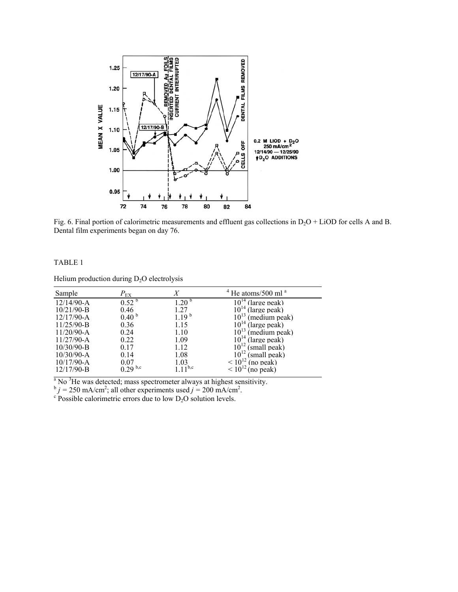

Fig. 6. Final portion of calorimetric measurements and effluent gas collections in  $D_2O + LiOD$  for cells A and B. Dental film experiments began on day 76.

#### TABLE 1

Helium production during  $D_2O$  electrolysis

| Sample         | $P_{\rm EX}$      | X                 | $4$ He atoms/500 ml $a$    |
|----------------|-------------------|-------------------|----------------------------|
| $12/14/90 - A$ | 0.52 <sup>b</sup> | 1.20 <sup>b</sup> | $10^{14}$ (large peak)     |
| $10/21/90 - B$ | 0.46              | 1.27              | $10^{14}$ (large peak)     |
| $12/17/90-A$   | 0.40 <sup>b</sup> | $1.19^{b}$        | $10^{13}$<br>(medium peak) |
| $11/25/90 - B$ | 0.36              | 1.15              | $10^{14}$ (large peak)     |
| $11/20/90-A$   | 0.24              | 1.10              | $10^{13}$<br>(medium peak) |
| $11/27/90-A$   | 0.22              | 1.09              | $10^{14}$ (large peak)     |
| $10/30/90 - B$ | 0.17              | 1.12              | $10^{12}$ (small peak)     |
| $10/30/90 - A$ | 0.14              | 1.08              | $10^{12}$ (small peak)     |
| $10/17/90 - A$ | 0.07              | 1.03              | $\leq 10^{12}$ (no peak)   |
| $12/17/90-B$   | $9.29^{b,c}$      | $11^{b,c}$        | $< 10^{12}$<br>(no peak)   |

<sup>a</sup> No<sup>3</sup>He was detected; mass spectrometer always at highest sensitivity.

 $b_j = 250 \text{ mA/cm}^2$ ; all other experiments used  $j = 200 \text{ mA/cm}^2$ .<br><sup>c</sup> Possible calorimetric errors due to low D<sub>2</sub>O solution levels.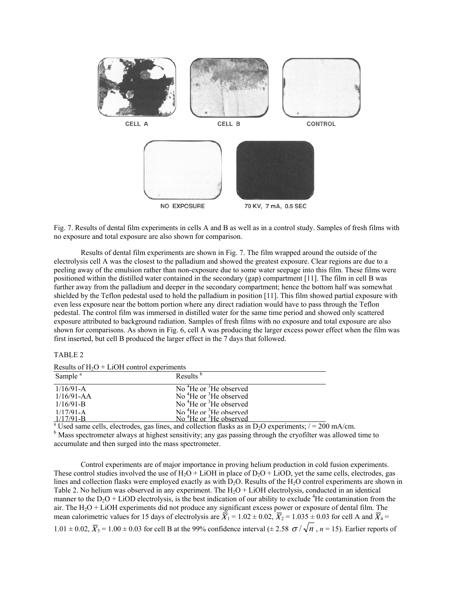

Fig. 7. Results of dental film experiments in cells A and B as well as in a control study. Samples of fresh films with no exposure and total exposure are also shown for comparison.

Results of dental film experiments are shown in Fig. 7. The film wrapped around the outside of the electrolysis cell A was the closest to the palladium and showed the greatest exposure. Clear regions are due to a peeling away of the emulsion rather than non-exposure due to some water seepage into this film. These films were positioned within the distilled water contained in the secondary (gap) compartment [11]. The film in cell B was further away from the palladium and deeper in the secondary compartment; hence the bottom half was somewhat shielded by the Teflon pedestal used to hold the palladium in position [11]. This film showed partial exposure with even less exposure near the bottom portion where any direct radiation would have to pass through the Teflon pedestal. The control film was immersed in distilled water for the same time period and showed only scattered exposure attributed to background radiation. Samples of fresh films with no exposure and total exposure are also shown for comparisons. As shown in Fig. 6, cell A was producing the larger excess power effect when the film was first inserted, but cell B produced the larger effect in the 7 days that followed.

#### TABLE 2

Results of  $H_2O + LiOH$  control experiments

| repairs of $H/\mathcal{O}$ . Enorge component experiments<br>Sample <sup>a</sup> | Results <sup>b</sup>                           |
|----------------------------------------------------------------------------------|------------------------------------------------|
| $1/16/91-A$                                                                      | No <sup>4</sup> He or <sup>3</sup> He observed |
| $1/16/91 - AA$                                                                   | No ${}^{4}$ He or ${}^{3}$ He observed         |
| $1/16/91 - B$                                                                    | No ${}^{4}$ He or ${}^{3}$ He observed         |
| $1/17/91 - A$                                                                    | No $^{4}$ He or $^{3}$ He observed             |
| $1/17/91 - B$                                                                    | No <sup>4</sup> He or <sup>3</sup> He observed |

 $\frac{1/17/91-B}{N}$  No <sup>4</sup>He or <sup>3</sup>He observed<br>a Used same cells, electrodes, gas lines, and collection flasks as in D<sub>2</sub>O experiments; / = 200 mA/cm.

<sup>b</sup> Mass spectrometer always at highest sensitivity; any gas passing through the cryofilter was allowed time to accumulate and then surged into the mass spectrometer.

Control experiments are of major importance in proving helium production in cold fusion experiments. These control studies involved the use of  $H_2O + LiOH$  in place of  $D_2O + LiOD$ , yet the same cells, electrodes, gas lines and collection flasks were employed exactly as with D<sub>2</sub>O. Results of the H<sub>2</sub>O control experiments are shown in Table 2. No helium was observed in any experiment. The  $H<sub>2</sub>O + LiOH$  electrolysis, conducted in an identical manner to the  $D_2O + LiOD$  electrolysis, is the best indication of our ability to exclude <sup>4</sup>He contamination from the air. The  $H_2O + LiOH$  experiments did not produce any significant excess power or exposure of dental film. The mean calorimetric values for 15 days of electrolysis are  $\overline{X}_1 = 1.02 \pm 0.02$ ,  $\overline{X}_2 = 1.035 \pm 0.03$  for cell A and  $\overline{X}_4 =$  $1.01 \pm 0.02$ ,  $\overline{X}_5 = 1.00 \pm 0.03$  for cell B at the 99% confidence interval ( $\pm 2.58$   $\sigma / \sqrt{n}$ ,  $n = 15$ ). Earlier reports of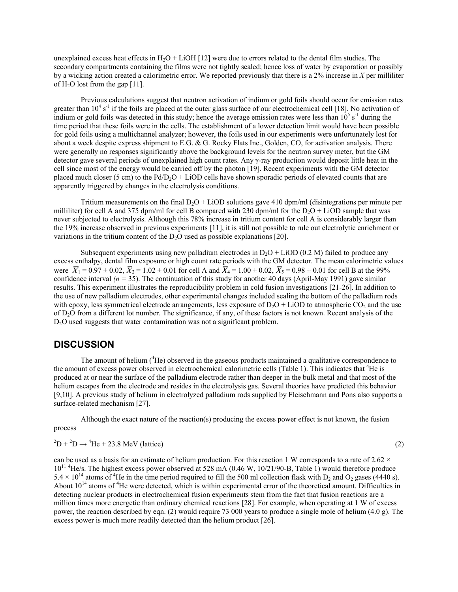unexplained excess heat effects in H<sub>2</sub>O + LiOH [12] were due to errors related to the dental film studies. The secondary compartments containing the films were not tightly sealed; hence loss of water by evaporation or possibly by a wicking action created a calorimetric error. We reported previously that there is a 2% increase in *X* per milliliter of  $H_2O$  lost from the gap [11].

Previous calculations suggest that neutron activation of indium or gold foils should occur for emission rates greater than  $10^4$  s<sup>-1</sup> if the foils are placed at the outer glass surface of our electrochemical cell [18]. No activation of indium or gold foils was detected in this study; hence the average emission rates were less than  $10^5$  s<sup>-1</sup> during the time period that these foils were in the cells. The establishment of a lower detection limit would have been possible for gold foils using a multichannel analyzer; however, the foils used in our experiments were unfortunately lost for about a week despite express shipment to E.G. & G. Rocky Flats Inc., Golden, CO, for activation analysis. There were generally no responses significantly above the background levels for the neutron survey meter, but the GM detector gave several periods of unexplained high count rates. Any γ-ray production would deposit little heat in the cell since most of the energy would be carried off by the photon [19]. Recent experiments with the GM detector placed much closer (5 cm) to the  $Pd/D<sub>2</sub>O + LiOD$  cells have shown sporadic periods of elevated counts that are apparently triggered by changes in the electrolysis conditions.

Tritium measurements on the final  $D_2O + LiOD$  solutions gave 410 dpm/ml (disintegrations per minute per milliliter) for cell A and 375 dpm/ml for cell B compared with 230 dpm/ml for the  $D_2O + LiOD$  sample that was never subjected to electrolysis. Although this 78% increase in tritium content for cell A is considerably larger than the 19% increase observed in previous experiments [11], it is still not possible to rule out electrolytic enrichment or variations in the tritium content of the  $D_2O$  used as possible explanations [20].

Subsequent experiments using new palladium electrodes in  $D_2O + LiOD$  (0.2 M) failed to produce any excess enthalpy, dental film exposure or high count rate periods with the GM detector. The mean calorimetric values were  $\overline{X}_1 = 0.97 \pm 0.02$ ,  $\overline{X}_2 = 1.02 \pm 0.01$  for cell A and  $\overline{X}_4 = 1.00 \pm 0.02$ ,  $\overline{X}_5 = 0.98 \pm 0.01$  for cell B at the 99% confidence interval  $(n = 35)$ . The continuation of this study for another 40 days (April-May 1991) gave similar results. This experiment illustrates the reproducibility problem in cold fusion investigations [21-26]. In addition to the use of new palladium electrodes, other experimental changes included sealing the bottom of the palladium rods with epoxy, less symmetrical electrode arrangements, less exposure of  $D_2O + LiOD$  to atmospheric  $CO_2$  and the use of D2O from a different lot number. The significance, if any, of these factors is not known. Recent analysis of the D<sub>2</sub>O used suggests that water contamination was not a significant problem.

### **DISCUSSION**

The amount of helium  $(^{4}$ He) observed in the gaseous products maintained a qualitative correspondence to the amount of excess power observed in electrochemical calorimetric cells (Table 1). This indicates that <sup>4</sup>He is produced at or near the surface of the palladium electrode rather than deeper in the bulk metal and that most of the helium escapes from the electrode and resides in the electrolysis gas. Several theories have predicted this behavior [9,10]. A previous study of helium in electrolyzed palladium rods supplied by Fleischmann and Pons also supports a surface-related mechanism [27].

Although the exact nature of the reaction(s) producing the excess power effect is not known, the fusion process

$$
{}^{2}\text{D} + {}^{2}\text{D} \rightarrow {}^{4}\text{He} + 23.8 \text{ MeV (lattice)}
$$
 (2)

can be used as a basis for an estimate of helium production. For this reaction 1 W corresponds to a rate of  $2.62 \times$ 10<sup>11 4</sup>He/s. The highest excess power observed at 528 mA (0.46 W, 10/21/90-B, Table 1) would therefore produce  $5.4 \times 10^{14}$  atoms of <sup>4</sup>He in the time period required to fill the 500 ml collection flask with D<sub>2</sub> and O<sub>2</sub> gases (4440 s). About  $10^{14}$  atoms of  ${}^{4}$ He were detected, which is within experimental error of the theoretical amount. Difficulties in detecting nuclear products in electrochemical fusion experiments stem from the fact that fusion reactions are a million times more energetic than ordinary chemical reactions [28]. For example, when operating at 1 W of excess power, the reaction described by eqn. (2) would require 73 000 years to produce a single mole of helium (4.0 g). The excess power is much more readily detected than the helium product [26].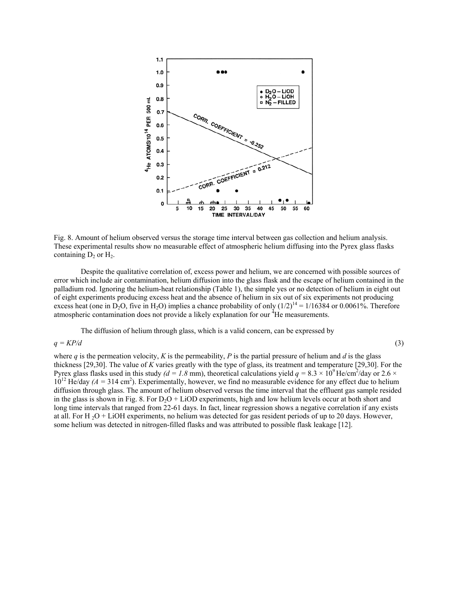

Fig. 8. Amount of helium observed versus the storage time interval between gas collection and helium analysis. These experimental results show no measurable effect of atmospheric helium diffusing into the Pyrex glass flasks containing  $D_2$  or  $H_2$ .

Despite the qualitative correlation of, excess power and helium, we are concerned with possible sources of error which include air contamination, helium diffusion into the glass flask and the escape of helium contained in the palladium rod. Ignoring the helium-heat relationship (Table 1), the simple yes or no detection of helium in eight out of eight experiments producing excess heat and the absence of helium in six out of six experiments not producing excess heat (one in D<sub>2</sub>O, five in H<sub>2</sub>O) implies a chance probability of only  $(1/2)^{14} = 1/16384$  or 0.0061%. Therefore atmospheric contamination does not provide a likely explanation for our <sup>4</sup>He measurements.

The diffusion of helium through glass, which is a valid concern, can be expressed by

#### $q = KP/d$  (3)

where  $q$  is the permeation velocity,  $K$  is the permeability,  $P$  is the partial pressure of helium and  $d$  is the glass thickness [29,30]. The value of *K* varies greatly with the type of glass, its treatment and temperature [29,30]. For the Pyrex glass flasks used in this study  $(d = 1.8 \text{ mm})$ , theoretical calculations yield  $q = 8.3 \times 10^9$  He/cm<sup>2</sup>/day or 2.6  $\times$  $10^{12}$  He/day  $(A = 314 \text{ cm}^2)$ . Experimentally, however, we find no measurable evidence for any effect due to helium diffusion through glass. The amount of helium observed versus the time interval that the effluent gas sample resided in the glass is shown in Fig. 8. For  $D_2O + LiOD$  experiments, high and low helium levels occur at both short and long time intervals that ranged from 22-61 days. In fact, linear regression shows a negative correlation if any exists at all. For H<sub>2</sub>O + LiOH experiments, no helium was detected for gas resident periods of up to 20 days. However, some helium was detected in nitrogen-filled flasks and was attributed to possible flask leakage [12].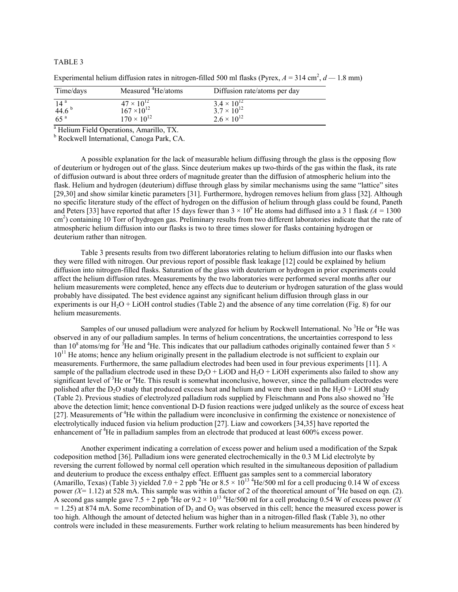#### TABLE 3

| Time/days                                               | Measured <sup>4</sup> He/atoms                                      | Diffusion rate/atoms per day                                         |  |
|---------------------------------------------------------|---------------------------------------------------------------------|----------------------------------------------------------------------|--|
| 14 <sup>a</sup><br>44.6 <sup>b</sup><br>65 <sup>a</sup> | $47 \times 10^{12}$<br>$167 \times 10^{12}$<br>$170 \times 10^{12}$ | $3.4 \times 10^{12}$<br>$3.7 \times 10^{12}$<br>$2.6 \times 10^{12}$ |  |
| <sup>a</sup> Helium Field Operations, Amarillo, TX.     |                                                                     |                                                                      |  |

Experimental helium diffusion rates in nitrogen-filled 500 ml flasks (Pyrex,  $A = 314$  cm<sup>2</sup>,  $d = 1.8$  mm)

b Rockwell International, Canoga Park, CA.

A possible explanation for the lack of measurable helium diffusing through the glass is the opposing flow of deuterium or hydrogen out of the glass. Since deuterium makes up two-thirds of the gas within the flask, its rate of diffusion outward is about three orders of magnitude greater than the diffusion of atmospheric helium into the flask. Helium and hydrogen (deuterium) diffuse through glass by similar mechanisms using the same "lattice" sites [29,30] and show similar kinetic parameters [31]. Furthermore, hydrogen removes helium from glass [32]. Although no specific literature study of the effect of hydrogen on the diffusion of helium through glass could be found, Paneth and Peters [33] have reported that after 15 days fewer than  $3 \times 10^9$  He atoms had diffused into a 3 1 flask  $(A = 1300$ cm<sup>2</sup>) containing 10 Torr of hydrogen gas. Preliminary results from two different laboratories indicate that the rate of atmospheric helium diffusion into our flasks is two to three times slower for flasks containing hydrogen or deuterium rather than nitrogen.

Table 3 presents results from two different laboratories relating to helium diffusion into our flasks when they were filled with nitrogen. Our previous report of possible flask leakage [12] could be explained by helium diffusion into nitrogen-filled flasks. Saturation of the glass with deuterium or hydrogen in prior experiments could affect the helium diffusion rates. Measurements by the two laboratories were performed several months after our helium measurements were completed, hence any effects due to deuterium or hydrogen saturation of the glass would probably have dissipated. The best evidence against any significant helium diffusion through glass in our experiments is our  $H<sub>2</sub>O + L<sub>i</sub>OH$  control studies (Table 2) and the absence of any time correlation (Fig. 8) for our helium measurements.

Samples of our unused palladium were analyzed for helium by Rockwell International. No  $3$ He or  $4$ He was observed in any of our palladium samples. In terms of helium concentrations, the uncertainties correspond to less than 10<sup>8</sup> atoms/mg for <sup>3</sup>He and <sup>4</sup>He. This indicates that our palladium cathodes originally contained fewer than 5  $\times$  $10<sup>11</sup>$  He atoms; hence any helium originally present in the palladium electrode is not sufficient to explain our measurements. Furthermore, the same palladium electrodes had been used in four previous experiments [11]. A sample of the palladium electrode used in these  $D_2O + LiOD$  and  $H_2O + LiOH$  experiments also failed to show any significant level of <sup>3</sup>He or <sup>4</sup>He. This result is somewhat inconclusive, however, since the palladium electrodes were polished after the D<sub>2</sub>O study that produced excess heat and helium and were then used in the H<sub>2</sub>O + LiOH study (Table 2). Previous studies of electrolyzed palladium rods supplied by Fleischmann and Pons also showed no  $3$ He above the detection limit; hence conventional D-D fusion reactions were judged unlikely as the source of excess heat [27]. Measurements of <sup>4</sup>He within the palladium were inconclusive in confirming the existence or nonexistence of electrolytically induced fusion via helium production [27]. Liaw and coworkers [34,35] have reported the enhancement of <sup>4</sup>He in palladium samples from an electrode that produced at least 600% excess power.

Another experiment indicating a correlation of excess power and helium used a modification of the Szpak codeposition method [36]. Palladium ions were generated electrochemically in the 0.3 M Lid electrolyte by reversing the current followed by normal cell operation which resulted in the simultaneous deposition of palladium and deuterium to produce the excess enthalpy effect. Effluent gas samples sent to a commercial laboratory (Amarillo, Texas) (Table 3) yielded  $7.0 + 2$  ppb<sup>4</sup>He or  $8.5 \times 10^{13}$ <sup>4</sup>He/500 ml for a cell producing 0.14 W of excess power  $(X = 1.12)$  at 528 mA. This sample was within a factor of 2 of the theoretical amount of <sup>4</sup>He based on eqn. (2). A second gas sample gave  $7.5 + 2$  ppb<sup>4</sup>He or  $9.2 \times 10^{13}$ <sup>4</sup>He/500 ml for a cell producing 0.54 W of excess power *(X)*  $= 1.25$ ) at 874 mA. Some recombination of D<sub>2</sub> and O<sub>2</sub> was observed in this cell; hence the measured excess power is too high. Although the amount of detected helium was higher than in a nitrogen-filled flask (Table 3), no other controls were included in these measurements. Further work relating to helium measurements has been hindered by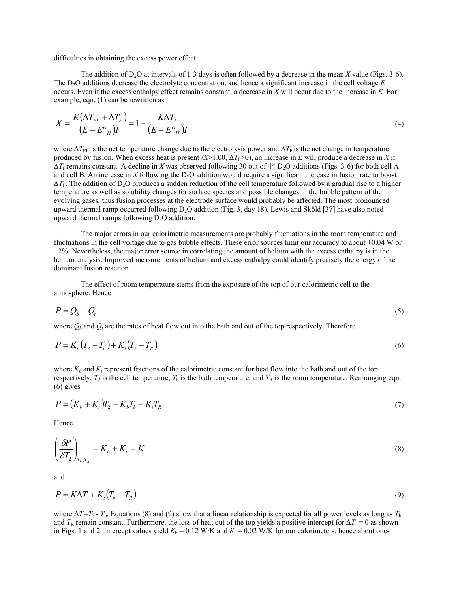difficulties in obtaining the excess power effect.

The addition of D<sub>2</sub>O at intervals of 1-3 days is often followed by a decrease in the mean *X* value (Figs. 3-6). The D<sub>2</sub>O additions decrease the electrolyte concentration, and hence a significant increase in the cell voltage *E* occurs. Even if the excess enthalpy effect remains constant, a decrease in *X* will occur due to the increase in *E.* For example, eqn. (1) can be rewritten as

$$
X = \frac{K(\Delta T_{EL} + \Delta T_F)}{(E - E^{\circ}_H)I} = 1 + \frac{K\Delta T_F}{(E - E^{\circ}_H)I}
$$
\n
$$
(4)
$$

where  $\Delta T_{\rm EL}$  is the net temperature change due to the electrolysis power and  $\Delta T_{\rm F}$  is the net change in temperature produced by fusion. When excess heat is present  $(X>1.00, \Delta T_F>0)$ , an increase in *E* will produce a decrease in *X* if ∆*T*F remains constant. A decline in *X* was observed following 30 out of 44 D2O additions (Figs. 3-6) for both cell A and cell B. An increase in *X* following the D<sub>2</sub>O addition would require a significant increase in fusion rate to boost  $\Delta T_F$ . The addition of D<sub>2</sub>O produces a sudden reduction of the cell temperature followed by a gradual rise to a higher temperature as well as solubility changes for surface species and possible changes in the bubble pattern of the evolving gases; thus fusion processes at the electrode surface would probably be affected. The most pronounced upward thermal ramp occurred following  $D_2O$  addition (Fig. 3, day 18). Lewis and Sköld [37] have also noted upward thermal ramps following  $D_2O$  addition.

The major errors in our calorimetric measurements are probably fluctuations in the room temperature and fluctuations in the cell voltage due to gas bubble effects. These error sources limit our accuracy to about +0.04 W or +2%. Nevertheless, the major error source in correlating the amount of helium with the excess enthalpy is in the helium analysis. Improved measurements of helium and excess enthalpy could identify precisely the energy of the dominant fusion reaction.

The effect of room temperature stems from the exposure of the top of our calorimetric cell to the atmosphere. Hence

$$
P = Q_b + Q_t \tag{5}
$$

where  $Q_b$  and  $Q_t$  are the rates of heat flow out into the bath and out of the top respectively. Therefore

$$
P = K_b (T_2 - T_b) + K_t (T_2 - T_R)
$$
\n(6)

where  $K_b$  and  $K_t$  represent fractions of the calorimetric constant for heat flow into the bath and out of the top respectively,  $T_2$  is the cell temperature,  $T_b$  is the bath temperature, and  $T_R$  is the room temperature. Rearranging eqn. (6) gives

$$
P = (K_b + K_t)T_2 - K_bT_b - K_tT_R
$$
\n(7)

Hence

$$
\left(\frac{\delta P}{\delta T_2}\right)_{T_b, T_R} = K_b + K_t = K \tag{8}
$$

and

$$
P = K\Delta T + K_t \left( T_b - T_R \right) \tag{9}
$$

where  $\Delta T = T_2$  - *T*<sub>b</sub>. Equations (8) and (9) show that a linear relationship is expected for all power levels as long as  $T_b$ and  $T_R$  remain constant. Furthermore, the loss of heat out of the top yields a positive intercept for  $\Delta T = 0$  as shown in Figs. 1 and 2. Intercept values yield  $K_b = 0.12$  W/K and  $K_t = 0.02$  W/K for our calorimeters; hence about one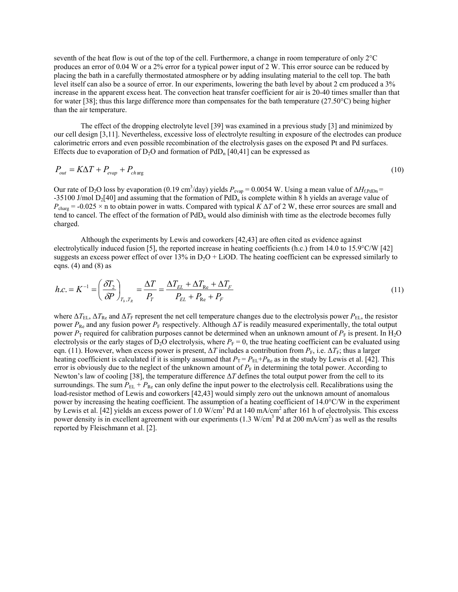seventh of the heat flow is out of the top of the cell. Furthermore, a change in room temperature of only 2°C produces an error of 0.04 W or a 2% error for a typical power input of 2 W. This error source can be reduced by placing the bath in a carefully thermostated atmosphere or by adding insulating material to the cell top. The bath level itself can also be a source of error. In our experiments, lowering the bath level by about 2 cm produced a 3% increase in the apparent excess heat. The convection heat transfer coefficient for air is 20-40 times smaller than that for water [38]; thus this large difference more than compensates for the bath temperature (27.50 $^{\circ}$ C) being higher than the air temperature.

The effect of the dropping electrolyte level [39] was examined in a previous study [3] and minimized by our cell design [3,11]. Nevertheless, excessive loss of electrolyte resulting in exposure of the electrodes can produce calorimetric errors and even possible recombination of the electrolysis gases on the exposed Pt and Pd surfaces. Effects due to evaporation of  $D_2O$  and formation of  $PdD_n$  [40,41] can be expressed as

$$
P_{out} = K\Delta T + P_{evap} + P_{charg}
$$
\n(10)

Our rate of D<sub>2</sub>O loss by evaporation (0.19 cm<sup>3</sup>/day) yields  $P_{evap} = 0.0054$  W. Using a mean value of  $\Delta H_{f,Pol}$ -35100 J/mol  $D_2[40]$  and assuming that the formation of PdD<sub>n</sub> is complete within 8 h yields an average value of *P*charg = -0.025 × n to obtain power in watts. Compared with typical *K* ∆*T* of 2 W, these error sources are small and tend to cancel. The effect of the formation of  $PdD<sub>n</sub>$  would also diminish with time as the electrode becomes fully charged.

Although the experiments by Lewis and coworkers [42,43] are often cited as evidence against electrolytically induced fusion [5], the reported increase in heating coefficients (h.c.) from 14.0 to 15.9°C/W [42] suggests an excess power effect of over  $13\%$  in D<sub>2</sub>O + LiOD. The heating coefficient can be expressed similarly to eqns.  $(4)$  and  $(8)$  as

$$
h.c. = K^{-1} = \left(\frac{\delta T_2}{\delta P}\right)_{T_b, T_R} = \frac{\Delta T}{P_T} = \frac{\Delta T_{EL} + \Delta T_{Re} + \Delta T_F}{P_{EL} + P_{Re} + P_F}
$$
\n(11)

where Δ*T*<sub>EL</sub>, Δ*T*<sub>Re</sub> and Δ*T*<sub>F</sub> represent the net cell temperature changes due to the electrolysis power *P*<sub>EL</sub>, the resistor power  $P_{\text{Re}}$  and any fusion power  $P_{\text{F}}$  respectively. Although ∆*T* is readily measured experimentally, the total output power  $P_T$  required for calibration purposes cannot be determined when an unknown amount of  $P_F$  is present. In H<sub>2</sub>O electrolysis or the early stages of  $D_2O$  electrolysis, where  $P_F = 0$ , the true heating coefficient can be evaluated using eqn. (11). However, when excess power is present,  $\Delta T$  includes a contribution from  $P_F$ , i.e.  $\Delta T_F$ ; thus a larger heating coefficient is calculated if it is simply assumed that  $P_T = P_{EL} + P_{Re}$  as in the study by Lewis et al. [42]. This error is obviously due to the neglect of the unknown amount of  $P_F$  in determining the total power. According to Newton's law of cooling [38], the temperature difference ∆*T* defines the total output power from the cell to its surroundings. The sum  $P_{EL} + P_{Re}$  can only define the input power to the electrolysis cell. Recalibrations using the load-resistor method of Lewis and coworkers [42,43] would simply zero out the unknown amount of anomalous power by increasing the heating coefficient. The assumption of a heating coefficient of 14.0°C/W in the experiment by Lewis et al. [42] yields an excess power of 1.0 W/cm<sup>3</sup> Pd at 140 mA/cm<sup>2</sup> after 161 h of electrolysis. This excess power density is in excellent agreement with our experiments  $(1.3 \text{ W/cm}^3 \text{ Pd} \text{ at } 200 \text{ mA/cm}^2)$  as well as the results reported by Fleischmann et al. [2].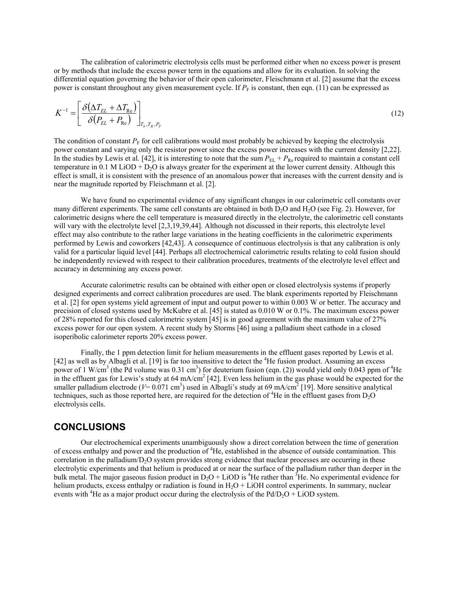The calibration of calorimetric electrolysis cells must be performed either when no excess power is present or by methods that include the excess power term in the equations and allow for its evaluation. In solving the differential equation governing the behavior of their open calorimeter, Fleischmann et al. [2] assume that the excess power is constant throughout any given measurement cycle. If  $P<sub>F</sub>$  is constant, then eqn. (11) can be expressed as

$$
K^{-1} = \left[ \frac{\delta \left( \Delta T_{EL} + \Delta T_{Re} \right)}{\delta \left( P_{EL} + P_{Re} \right)} \right]_{T_b, T_R, P_F}
$$
\n(12)

The condition of constant  $P_F$  for cell calibrations would most probably be achieved by keeping the electrolysis power constant and varying only the resistor power since the excess power increases with the current density [2,22]. In the studies by Lewis et al. [42], it is interesting to note that the sum  $P_{EL} + P_{Re}$  required to maintain a constant cell temperature in 0.1 M LiOD +  $D_2O$  is always greater for the experiment at the lower current density. Although this effect is small, it is consistent with the presence of an anomalous power that increases with the current density and is near the magnitude reported by Fleischmann et al. [2].

We have found no experimental evidence of any significant changes in our calorimetric cell constants over many different experiments. The same cell constants are obtained in both  $D<sub>2</sub>O$  and  $H<sub>2</sub>O$  (see Fig. 2). However, for calorimetric designs where the cell temperature is measured directly in the electrolyte, the calorimetric cell constants will vary with the electrolyte level [2,3,19,39,44]. Although not discussed in their reports, this electrolyte level effect may also contribute to the rather large variations in the heating coefficients in the calorimetric experiments performed by Lewis and coworkers [42,43]. A consequence of continuous electrolysis is that any calibration is only valid for a particular liquid level [44]. Perhaps all electrochemical calorimetric results relating to cold fusion should be independently reviewed with respect to their calibration procedures, treatments of the electrolyte level effect and accuracy in determining any excess power.

Accurate calorimetric results can be obtained with either open or closed electrolysis systems if properly designed experiments and correct calibration procedures are used. The blank experiments reported by Fleischmann et al. [2] for open systems yield agreement of input and output power to within 0.003 W or better. The accuracy and precision of closed systems used by McKubre et al. [45] is stated as 0.010 W or 0.1%. The maximum excess power of 28% reported for this closed calorimetric system [45] is in good agreement with the maximum value of 27% excess power for our open system. A recent study by Storms [46] using a palladium sheet cathode in a closed isoperibolic calorimeter reports 20% excess power.

Finally, the 1 ppm detection limit for helium measurements in the effluent gases reported by Lewis et al. [42] as well as by Albagli et al. [19] is far too insensitive to detect the <sup>4</sup>He fusion product. Assuming an excess power of 1 W/cm<sup>3</sup> (the Pd volume was 0.31 cm<sup>3</sup>) for deuterium fusion (eqn. (2)) would yield only 0.043 ppm of <sup>4</sup>He in the effluent gas for Lewis's study at 64 mA/cm<sup>2</sup> [42]. Even less helium in the gas phase would be expected for the smaller palladium electrode ( $V=0.071$  cm<sup>3</sup>) used in Albagli's study at 69 mA/cm<sup>2</sup> [19]. More sensitive analytical techniques, such as those reported here, are required for the detection of <sup>4</sup>He in the effluent gases from  $D_2O$ electrolysis cells.

### **CONCLUSIONS**

Our electrochemical experiments unambiguously show a direct correlation between the time of generation of excess enthalpy and power and the production of <sup>4</sup>He, established in the absence of outside contamination. This correlation in the palladium/ $D<sub>2</sub>O$  system provides strong evidence that nuclear processes are occurring in these electrolytic experiments and that helium is produced at or near the surface of the palladium rather than deeper in the bulk metal. The major gaseous fusion product in  $D_2O + LiOD$  is <sup>4</sup>He rather than <sup>3</sup>He. No experimental evidence for helium products, excess enthalpy or radiation is found in  $H<sub>2</sub>O + LiOH$  control experiments. In summary, nuclear events with <sup>4</sup>He as a major product occur during the electrolysis of the Pd/D<sub>2</sub>O + LiOD system.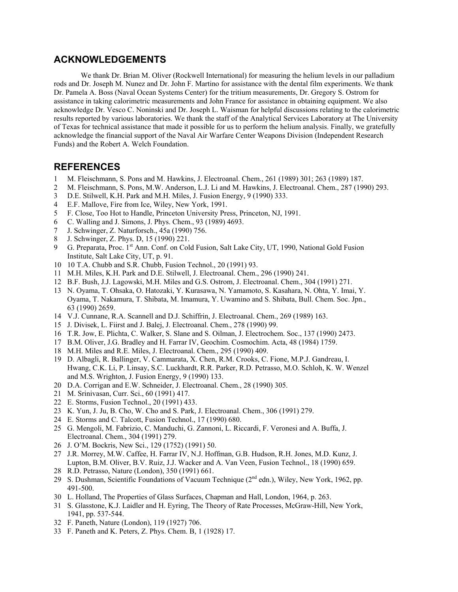## **ACKNOWLEDGEMENTS**

We thank Dr. Brian M. Oliver (Rockwell International) for measuring the helium levels in our palladium rods and Dr. Joseph M. Nunez and Dr. John F. Martino for assistance with the dental film experiments. We thank Dr. Pamela A. Boss (Naval Ocean Systems Center) for the tritium measurements, Dr. Gregory S. Ostrom for assistance in taking calorimetric measurements and John France for assistance in obtaining equipment. We also acknowledge Dr. Vesco C. Noninski and Dr. Joseph L. Waisman for helpful discussions relating to the calorimetric results reported by various laboratories. We thank the staff of the Analytical Services Laboratory at The University of Texas for technical assistance that made it possible for us to perform the helium analysis. Finally, we gratefully acknowledge the financial support of the Naval Air Warfare Center Weapons Division (Independent Research Funds) and the Robert A. Welch Foundation.

### **REFERENCES**

- 1 M. Fleischmann, S. Pons and M. Hawkins, J. Electroanal. Chem., 261 (1989) 301; 263 (1989) 187.
- 2 M. Fleischmann, S. Pons, M.W. Anderson, L.J. Li and M. Hawkins, J. Electroanal. Chem., 287 (1990) 293.
- 3 D.E. Stilwell, K.H. Park and M.H. Miles, J. Fusion Energy, 9 (1990) 333.
- 4 E.F. Mallove, Fire from Ice, Wiley, New York, 1991.
- 5 F. Close, Too Hot to Handle, Princeton University Press, Princeton, NJ, 1991.
- 6 C. Walling and J. Simons, J. Phys. Chem., 93 (1989) 4693.
- 7 J. Schwinger, Z. Naturforsch., 45a (1990) 756.
- 8 J. Schwinger, Z. Phys. D, 15 (1990) 221.
- 9 G. Preparata, Proc. 1<sup>st</sup> Ann. Conf. on Cold Fusion, Salt Lake City, UT, 1990, National Gold Fusion Institute, Salt Lake City, UT, p. 91.
- 10 10 T.A. Chubb and S.R. Chubb, Fusion Technol., 20 (1991) 93.
- 11 M.H. Miles, K.H. Park and D.E. Stilwell, J. Electroanal. Chem., 296 (1990) 241.
- 12 B.F. Bush, J.J. Lagowski, M.H. Miles and G.S. Ostrom, J. Electroanal. Chem., 304 (1991) 271.
- 13 N. Oyama, T. Ohsaka, O. Hatozaki, Y. Kurasawa, N. Yamamoto, S. Kasahara, N. Ohta, Y. Imai, Y. Oyama, T. Nakamura, T. Shibata, M. Imamura, Y. Uwamino and S. Shibata, Bull. Chem. Soc. Jpn., 63 (1990) 2659.
- 14 V.J. Cunnane, R.A. Scannell and D.J. Schiffrin, J. Electroanal. Chem., 269 (1989) 163.
- 15 J. Divisek, L. Fiirst and J. Balej, J. Electroanal. Chem., 278 (1990) 99.
- 16 T.R. Jow, E. Plichta, C. Walker, S. Slane and S. Oilman, J. Electrochem. Soc., 137 (1990) 2473.
- 17 B.M. Oliver, J.G. Bradley and H. Farrar IV, Geochim. Cosmochim. Acta, 48 (1984) 1759.
- 18 M.H. Miles and R.E. Miles, J. Electroanal. Chem., 295 (1990) 409.
- 19 D. Albagli, R. Ballinger, V. Cammarata, X. Chen, R.M. Crooks, C. Fione, M.P.J. Gandreau, I. Hwang, C.K. Li, P. Linsay, S.C. Luckhardt, R.R. Parker, R.D. Petrasso, M.O. Schloh, K. W. Wenzel and M.S. Wrighton, J. Fusion Energy, 9 (1990) 133.
- 20 D.A. Corrigan and E.W. Schneider, J. Electroanal. Chem., 28 (1990) 305.
- 21 M. Srinivasan, Curr. Sci., 60 (1991) 417.
- 22 E. Storms, Fusion Technol., 20 (1991) 433.
- 23 K. Yun, J. Ju, B. Cho, W. Cho and S. Park, J. Electroanal. Chem., 306 (1991) 279.
- 24 E. Storms and C. Talcott, Fusion Technol., 17 (1990) 680.
- 25 G. Mengoli, M. Fabrizio, C. Manduchi, G. Zannoni, L. Riccardi, F. Veronesi and A. Buffa, J. Electroanal. Chem., 304 (1991) 279.
- 26 J. O'M. Bockris, New Sci., 129 (1752) (1991) 50.
- 27 J.R. Morrey, M.W. Caffee, H. Farrar IV, N.J. Hoffman, G.B. Hudson, R.H. Jones, M.D. Kunz, J. Lupton, B.M. Oliver, B.V. Ruiz, J.J. Wacker and A. Van Veen, Fusion Technol., 18 (1990) 659.
- 28 R.D. Petrasso, Nature (London), 350 (1991) 661.
- 29 S. Dushman, Scientific Foundations of Vacuum Technique (2nd edn.), Wiley, New York, 1962, pp. 491-500.
- 30 L. Holland, The Properties of Glass Surfaces, Chapman and Hall, London, 1964, p. 263.
- 31 S. Glasstone, K.J. Laidler and H. Eyring, The Theory of Rate Processes, McGraw-Hill, New York, 1941, pp. 537-544.
- 32 F. Paneth, Nature (London), 119 (1927) 706.
- 33 F. Paneth and K. Peters, Z. Phys. Chem. B, 1 (1928) 17.